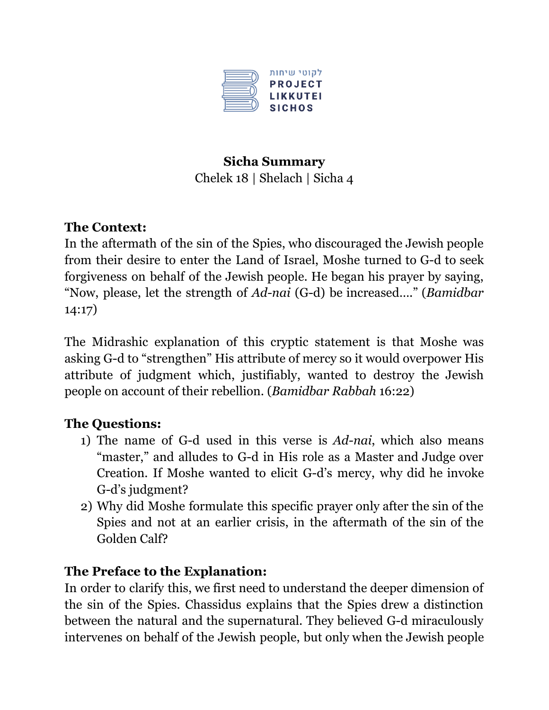

#### **Sicha Summary** Chelek 18 | Shelach | Sicha 4

## **The Context:**

In the aftermath of the sin of the Spies, who discouraged the Jewish people from their desire to enter the Land of Israel, Moshe turned to G-d to seek forgiveness on behalf of the Jewish people. He began his prayer by saying, "Now, please, let the strength of *Ad-nai* (G-d) be increased…." (*Bamidbar* 14:17)

The Midrashic explanation of this cryptic statement is that Moshe was asking G-d to "strengthen" His attribute of mercy so it would overpower His attribute of judgment which, justifiably, wanted to destroy the Jewish people on account of their rebellion. (*Bamidbar Rabbah* 16:22)

# **The Questions:**

- 1) The name of G-d used in this verse is *Ad-nai*, which also means "master," and alludes to G-d in His role as a Master and Judge over Creation. If Moshe wanted to elicit G-d's mercy, why did he invoke G-d's judgment?
- 2) Why did Moshe formulate this specific prayer only after the sin of the Spies and not at an earlier crisis, in the aftermath of the sin of the Golden Calf?

### **The Preface to the Explanation:**

In order to clarify this, we first need to understand the deeper dimension of the sin of the Spies. Chassidus explains that the Spies drew a distinction between the natural and the supernatural. They believed G-d miraculously intervenes on behalf of the Jewish people, but only when the Jewish people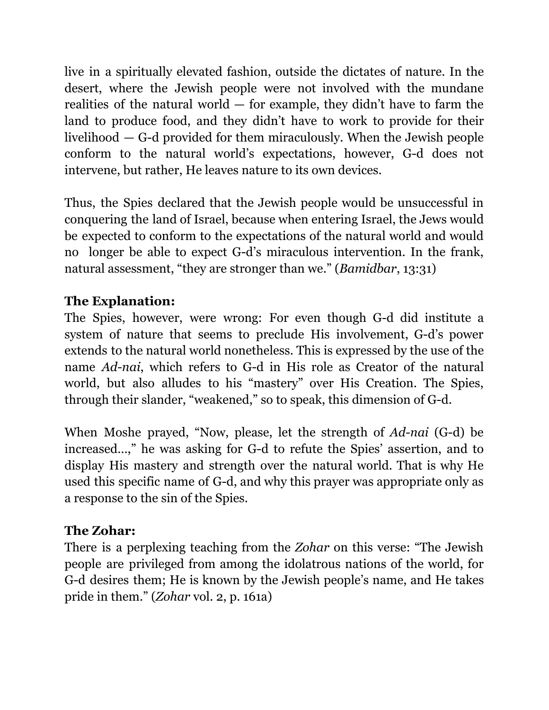live in a spiritually elevated fashion, outside the dictates of nature. In the desert, where the Jewish people were not involved with the mundane realities of the natural world — for example, they didn't have to farm the land to produce food, and they didn't have to work to provide for their livelihood — G-d provided for them miraculously. When the Jewish people conform to the natural world's expectations, however, G-d does not intervene, but rather, He leaves nature to its own devices.

Thus, the Spies declared that the Jewish people would be unsuccessful in conquering the land of Israel, because when entering Israel, the Jews would be expected to conform to the expectations of the natural world and would no longer be able to expect G-d's miraculous intervention. In the frank, natural assessment, "they are stronger than we." (*Bamidbar*, 13:31)

### **The Explanation:**

The Spies, however, were wrong: For even though G-d did institute a system of nature that seems to preclude His involvement, G-d's power extends to the natural world nonetheless. This is expressed by the use of the name *Ad-nai*, which refers to G-d in His role as Creator of the natural world, but also alludes to his "mastery" over His Creation. The Spies, through their slander, "weakened," so to speak, this dimension of G-d.

When Moshe prayed, "Now, please, let the strength of *Ad-nai* (G-d) be increased…," he was asking for G-d to refute the Spies' assertion, and to display His mastery and strength over the natural world. That is why He used this specific name of G-d, and why this prayer was appropriate only as a response to the sin of the Spies.

#### **The Zohar:**

There is a perplexing teaching from the *Zohar* on this verse: "The Jewish people are privileged from among the idolatrous nations of the world, for G-d desires them; He is known by the Jewish people's name, and He takes pride in them." (*Zohar* vol. 2, p. 161a)